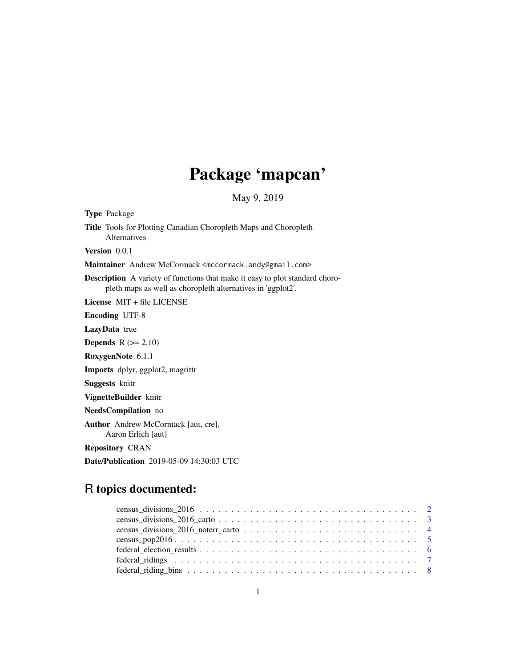# Package 'mapcan'

May 9, 2019

Type Package Title Tools for Plotting Canadian Choropleth Maps and Choropleth Alternatives Version 0.0.1 Maintainer Andrew McCormack <mccormack.andy@gmail.com> Description A variety of functions that make it easy to plot standard choropleth maps as well as choropleth alternatives in 'ggplot2'. License MIT + file LICENSE Encoding UTF-8 LazyData true **Depends**  $R$  ( $>= 2.10$ ) RoxygenNote 6.1.1 Imports dplyr, ggplot2, magrittr Suggests knitr VignetteBuilder knitr NeedsCompilation no Author Andrew McCormack [aut, cre], Aaron Erlich [aut] Repository CRAN Date/Publication 2019-05-09 14:30:03 UTC

# R topics documented: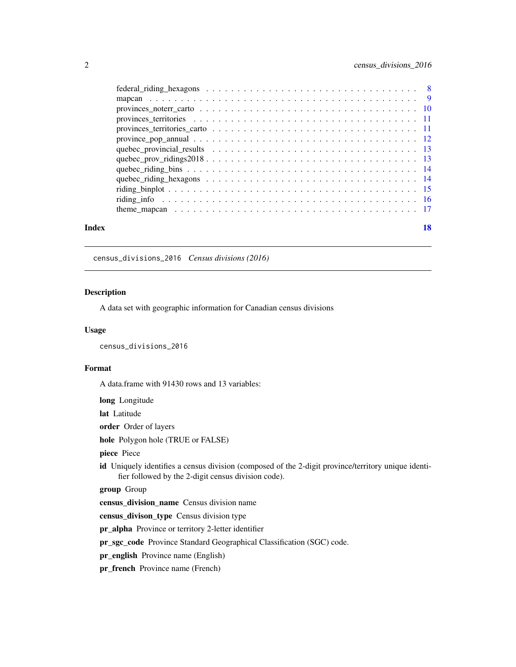<span id="page-1-0"></span>

| Index |                                                                                                                                                              | 18 |
|-------|--------------------------------------------------------------------------------------------------------------------------------------------------------------|----|
|       | theme mapcan $\ldots$ $\ldots$ $\ldots$ $\ldots$ $\ldots$ $\ldots$ $\ldots$ $\ldots$ $\ldots$ $\ldots$ $\ldots$ $\ldots$ $\ldots$ $\ldots$ $\ldots$ $\ldots$ |    |
|       |                                                                                                                                                              |    |
|       |                                                                                                                                                              |    |
|       |                                                                                                                                                              |    |
|       |                                                                                                                                                              |    |
|       |                                                                                                                                                              |    |
|       |                                                                                                                                                              |    |
|       |                                                                                                                                                              |    |
|       |                                                                                                                                                              |    |
|       |                                                                                                                                                              |    |
|       |                                                                                                                                                              |    |
|       |                                                                                                                                                              |    |
|       |                                                                                                                                                              |    |

# census\_divisions\_2016 *Census divisions (2016)*

# Description

A data set with geographic information for Canadian census divisions

#### Usage

census\_divisions\_2016

#### Format

A data.frame with 91430 rows and 13 variables:

long Longitude

lat Latitude

order Order of layers

hole Polygon hole (TRUE or FALSE)

piece Piece

id Uniquely identifies a census division (composed of the 2-digit province/territory unique identifier followed by the 2-digit census division code).

group Group

census\_division\_name Census division name

census\_divison\_type Census division type

pr\_alpha Province or territory 2-letter identifier

pr\_sgc\_code Province Standard Geographical Classification (SGC) code.

pr\_english Province name (English)

pr\_french Province name (French)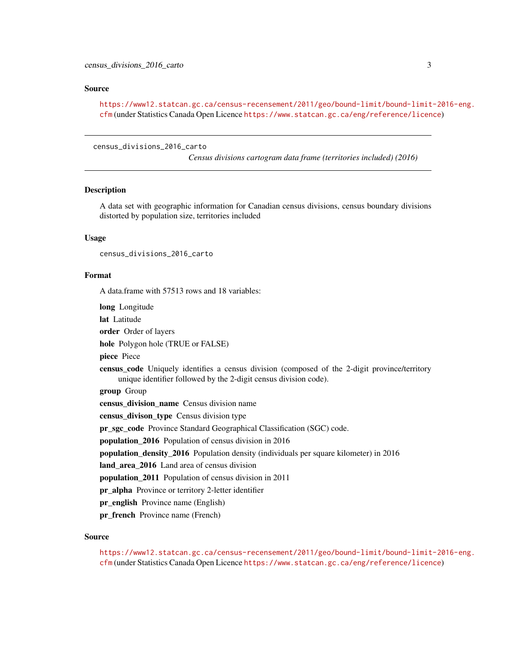#### <span id="page-2-0"></span>Source

[https://www12.statcan.gc.ca/census-recensement/2011/geo/bound-limit/bound-limit](https://www12.statcan.gc.ca/census-recensement/2011/geo/bound-limit/bound-limit-2016-eng.cfm)-2016-eng. [cfm](https://www12.statcan.gc.ca/census-recensement/2011/geo/bound-limit/bound-limit-2016-eng.cfm) (under Statistics Canada Open Licence <https://www.statcan.gc.ca/eng/reference/licence>)

census\_divisions\_2016\_carto

*Census divisions cartogram data frame (territories included) (2016)*

#### Description

A data set with geographic information for Canadian census divisions, census boundary divisions distorted by population size, territories included

#### Usage

census\_divisions\_2016\_carto

#### Format

A data.frame with 57513 rows and 18 variables:

long Longitude lat Latitude order Order of layers hole Polygon hole (TRUE or FALSE) piece Piece census code Uniquely identifies a census division (composed of the 2-digit province/territory unique identifier followed by the 2-digit census division code). group Group census\_division\_name Census division name census\_divison\_type Census division type pr\_sgc\_code Province Standard Geographical Classification (SGC) code. population\_2016 Population of census division in 2016 population\_density\_2016 Population density (individuals per square kilometer) in 2016 land\_area\_2016 Land area of census division population\_2011 Population of census division in 2011 pr\_alpha Province or territory 2-letter identifier pr\_english Province name (English) pr\_french Province name (French)

## Source

[https://www12.statcan.gc.ca/census-recensement/2011/geo/bound-limit/bound-limit](https://www12.statcan.gc.ca/census-recensement/2011/geo/bound-limit/bound-limit-2016-eng.cfm)-2016-eng. [cfm](https://www12.statcan.gc.ca/census-recensement/2011/geo/bound-limit/bound-limit-2016-eng.cfm) (under Statistics Canada Open Licence <https://www.statcan.gc.ca/eng/reference/licence>)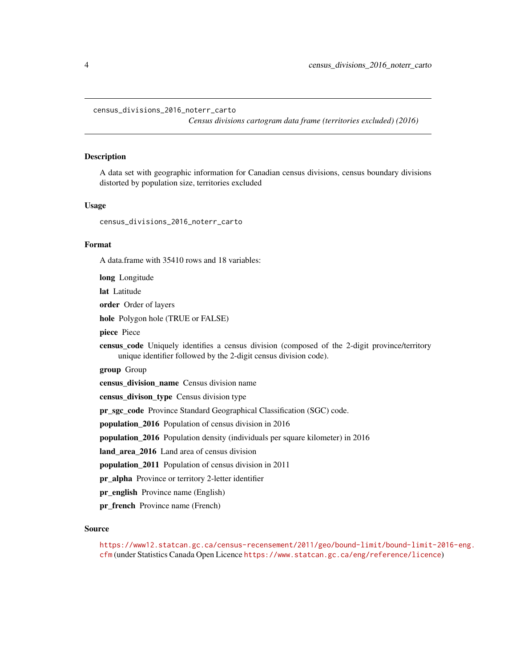<span id="page-3-0"></span>census\_divisions\_2016\_noterr\_carto

*Census divisions cartogram data frame (territories excluded) (2016)*

# Description

A data set with geographic information for Canadian census divisions, census boundary divisions distorted by population size, territories excluded

#### Usage

census\_divisions\_2016\_noterr\_carto

## Format

A data.frame with 35410 rows and 18 variables:

long Longitude

lat Latitude

order Order of layers

hole Polygon hole (TRUE or FALSE)

piece Piece

census\_code Uniquely identifies a census division (composed of the 2-digit province/territory unique identifier followed by the 2-digit census division code).

group Group

census\_division\_name Census division name

census\_divison\_type Census division type

pr\_sgc\_code Province Standard Geographical Classification (SGC) code.

population\_2016 Population of census division in 2016

population\_2016 Population density (individuals per square kilometer) in 2016

land area 2016 Land area of census division

population\_2011 Population of census division in 2011

pr\_alpha Province or territory 2-letter identifier

pr\_english Province name (English)

pr french Province name (French)

#### Source

[https://www12.statcan.gc.ca/census-recensement/2011/geo/bound-limit/bound-limit](https://www12.statcan.gc.ca/census-recensement/2011/geo/bound-limit/bound-limit-2016-eng.cfm)-2016-eng. [cfm](https://www12.statcan.gc.ca/census-recensement/2011/geo/bound-limit/bound-limit-2016-eng.cfm) (under Statistics Canada Open Licence <https://www.statcan.gc.ca/eng/reference/licence>)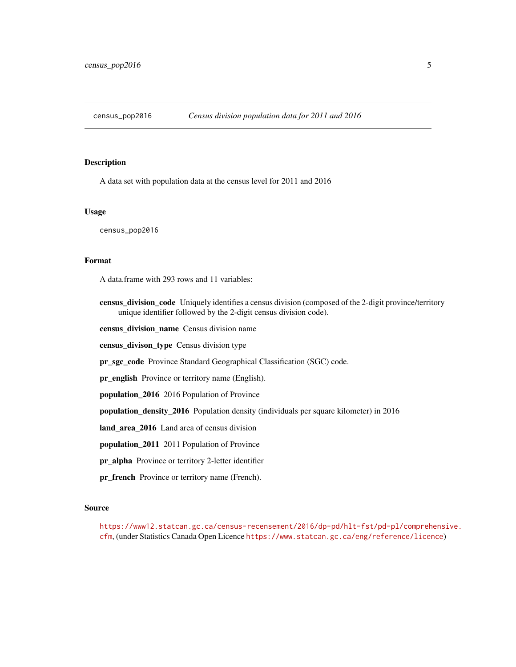<span id="page-4-0"></span>

#### **Description**

A data set with population data at the census level for 2011 and 2016

#### Usage

census\_pop2016

#### Format

A data.frame with 293 rows and 11 variables:

census division code Uniquely identifies a census division (composed of the 2-digit province/territory unique identifier followed by the 2-digit census division code).

census\_division\_name Census division name

census\_divison\_type Census division type

pr\_sgc\_code Province Standard Geographical Classification (SGC) code.

pr\_english Province or territory name (English).

population\_2016 2016 Population of Province

population\_density\_2016 Population density (individuals per square kilometer) in 2016

land\_area\_2016 Land area of census division

population\_2011 2011 Population of Province

pr\_alpha Province or territory 2-letter identifier

pr\_french Province or territory name (French).

#### Source

[https://www12.statcan.gc.ca/census-recensement/2016/dp-pd/hlt-fst/pd-pl/compreh](https://www12.statcan.gc.ca/census-recensement/2016/dp-pd/hlt-fst/pd-pl/comprehensive.cfm)ensive. [cfm](https://www12.statcan.gc.ca/census-recensement/2016/dp-pd/hlt-fst/pd-pl/comprehensive.cfm), (under Statistics Canada Open Licence <https://www.statcan.gc.ca/eng/reference/licence>)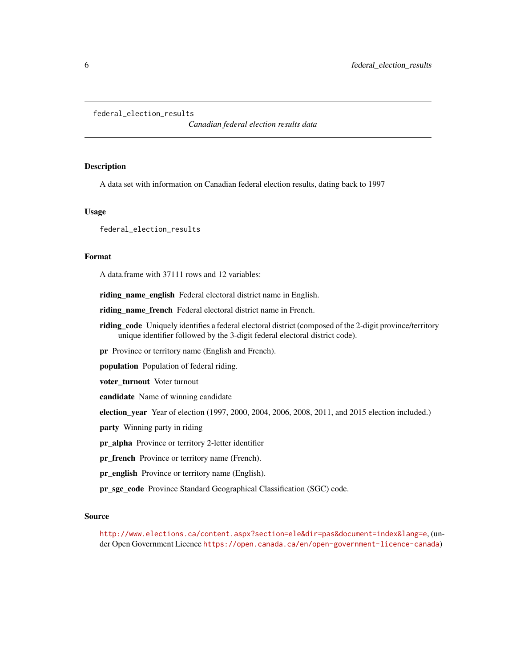```
federal_election_results
```
*Canadian federal election results data*

## **Description**

A data set with information on Canadian federal election results, dating back to 1997

#### Usage

federal\_election\_results

# Format

A data.frame with 37111 rows and 12 variables:

riding\_name\_english Federal electoral district name in English.

riding\_name\_french Federal electoral district name in French.

riding\_code Uniquely identifies a federal electoral district (composed of the 2-digit province/territory unique identifier followed by the 3-digit federal electoral district code).

pr Province or territory name (English and French).

population Population of federal riding.

voter\_turnout Voter turnout

candidate Name of winning candidate

election\_year Year of election (1997, 2000, 2004, 2006, 2008, 2011, and 2015 election included.)

party Winning party in riding

pr\_alpha Province or territory 2-letter identifier

pr\_french Province or territory name (French).

pr\_english Province or territory name (English).

pr\_sgc\_code Province Standard Geographical Classification (SGC) code.

#### Source

<http://www.elections.ca/content.aspx?section=ele&dir=pas&document=index&lang=e>, (under Open Government Licence <https://open.canada.ca/en/open-government-licence-canada>)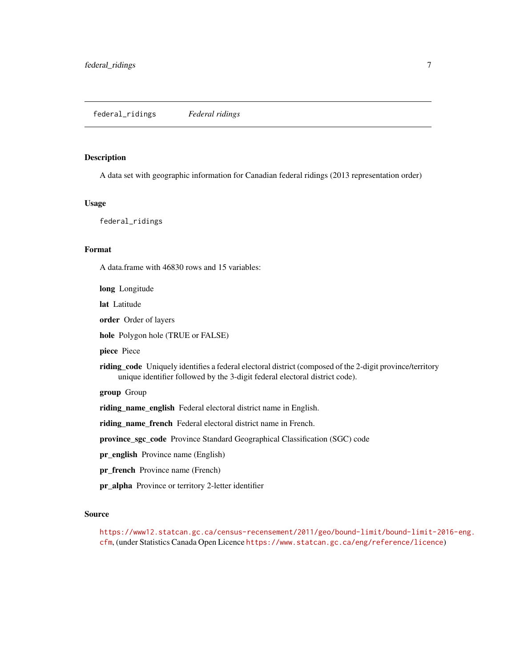#### <span id="page-6-0"></span>Description

A data set with geographic information for Canadian federal ridings (2013 representation order)

# Usage

federal\_ridings

## Format

A data.frame with 46830 rows and 15 variables:

long Longitude

lat Latitude

order Order of layers

hole Polygon hole (TRUE or FALSE)

piece Piece

riding\_code Uniquely identifies a federal electoral district (composed of the 2-digit province/territory unique identifier followed by the 3-digit federal electoral district code).

group Group

riding\_name\_english Federal electoral district name in English.

riding\_name\_french Federal electoral district name in French.

province\_sgc\_code Province Standard Geographical Classification (SGC) code

pr\_english Province name (English)

pr\_french Province name (French)

pr\_alpha Province or territory 2-letter identifier

#### Source

[https://www12.statcan.gc.ca/census-recensement/2011/geo/bound-limit/bound-limit](https://www12.statcan.gc.ca/census-recensement/2011/geo/bound-limit/bound-limit-2016-eng.cfm)-2016-eng. [cfm](https://www12.statcan.gc.ca/census-recensement/2011/geo/bound-limit/bound-limit-2016-eng.cfm), (under Statistics Canada Open Licence <https://www.statcan.gc.ca/eng/reference/licence>)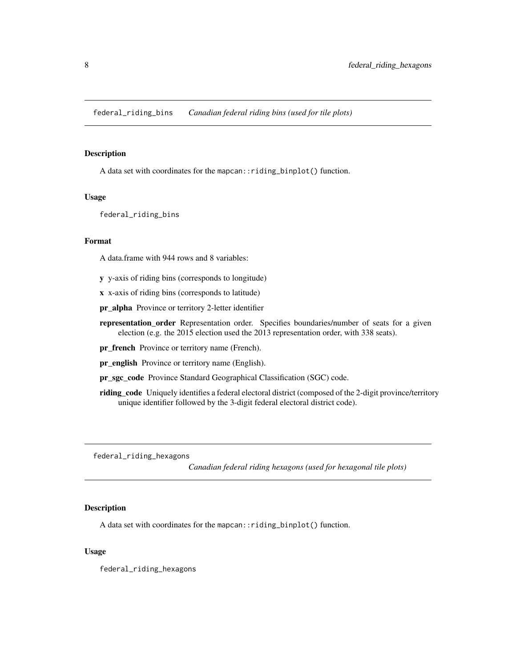# <span id="page-7-0"></span>Description

A data set with coordinates for the mapcan::riding\_binplot() function.

#### Usage

federal\_riding\_bins

# Format

A data.frame with 944 rows and 8 variables:

- y y-axis of riding bins (corresponds to longitude)
- x x-axis of riding bins (corresponds to latitude)
- pr\_alpha Province or territory 2-letter identifier
- representation\_order Representation order. Specifies boundaries/number of seats for a given election (e.g. the 2015 election used the 2013 representation order, with 338 seats).
- pr\_french Province or territory name (French).
- pr\_english Province or territory name (English).
- pr\_sgc\_code Province Standard Geographical Classification (SGC) code.
- riding\_code Uniquely identifies a federal electoral district (composed of the 2-digit province/territory unique identifier followed by the 3-digit federal electoral district code).

federal\_riding\_hexagons

*Canadian federal riding hexagons (used for hexagonal tile plots)*

#### Description

A data set with coordinates for the mapcan::riding\_binplot() function.

#### Usage

federal\_riding\_hexagons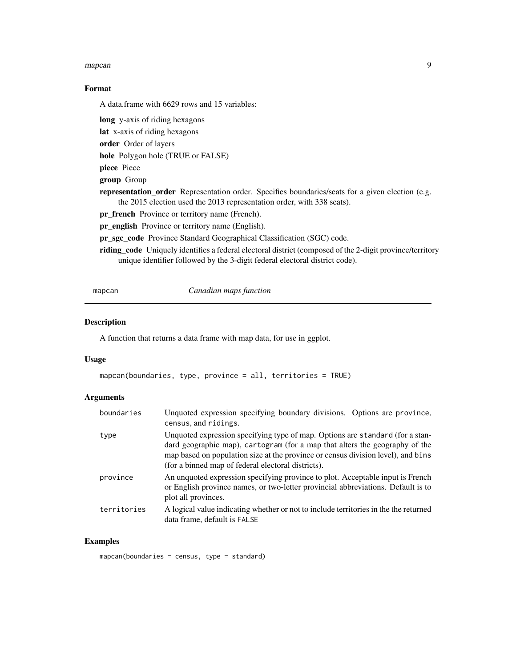#### <span id="page-8-0"></span>mapcan 99 and 2012 and 2012 and 2012 and 2012 and 2012 and 2012 and 2012 and 2012 and 2012 and 2012 and 2012 and 201

# Format

A data.frame with 6629 rows and 15 variables:

long y-axis of riding hexagons

lat x-axis of riding hexagons

order Order of layers

hole Polygon hole (TRUE or FALSE)

piece Piece

group Group

representation\_order Representation order. Specifies boundaries/seats for a given election (e.g. the 2015 election used the 2013 representation order, with 338 seats).

pr\_french Province or territory name (French).

pr\_english Province or territory name (English).

pr\_sgc\_code Province Standard Geographical Classification (SGC) code.

riding\_code Uniquely identifies a federal electoral district (composed of the 2-digit province/territory unique identifier followed by the 3-digit federal electoral district code).

mapcan *Canadian maps function*

#### Description

A function that returns a data frame with map data, for use in ggplot.

#### Usage

```
mapcan(boundaries, type, province = all, territories = TRUE)
```
#### Arguments

| boundaries  | Unquoted expression specifying boundary divisions. Options are province,<br>census, and ridings.                                                                                                                                                                                                       |
|-------------|--------------------------------------------------------------------------------------------------------------------------------------------------------------------------------------------------------------------------------------------------------------------------------------------------------|
| type        | Unquoted expression specifying type of map. Options are standard (for a stan-<br>dard geographic map), cartogram (for a map that alters the geography of the<br>map based on population size at the province or census division level), and bins<br>(for a binned map of federal electoral districts). |
| province    | An unquoted expression specifying province to plot. Acceptable input is French<br>or English province names, or two-letter provincial abbreviations. Default is to<br>plot all provinces.                                                                                                              |
| territories | A logical value indicating whether or not to include territories in the the returned<br>data frame, default is FALSE                                                                                                                                                                                   |

# Examples

mapcan(boundaries = census, type = standard)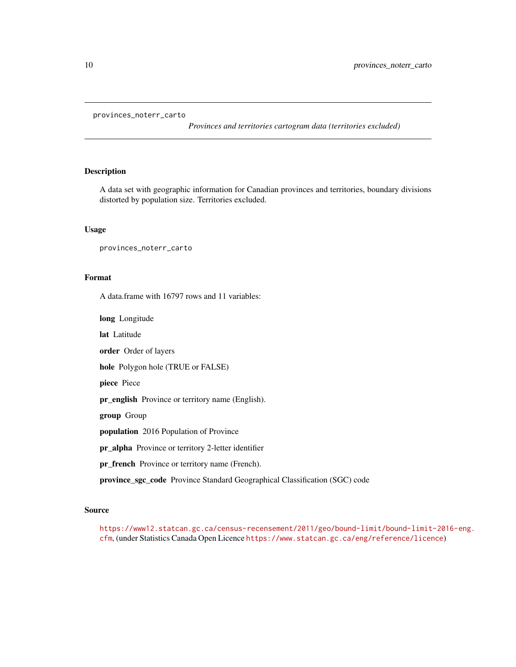#### <span id="page-9-0"></span>provinces\_noterr\_carto

*Provinces and territories cartogram data (territories excluded)*

# Description

A data set with geographic information for Canadian provinces and territories, boundary divisions distorted by population size. Territories excluded.

#### Usage

```
provinces_noterr_carto
```
#### Format

A data.frame with 16797 rows and 11 variables:

long Longitude

lat Latitude

order Order of layers

hole Polygon hole (TRUE or FALSE)

piece Piece

pr\_english Province or territory name (English).

group Group

population 2016 Population of Province

pr\_alpha Province or territory 2-letter identifier

pr\_french Province or territory name (French).

province\_sgc\_code Province Standard Geographical Classification (SGC) code

#### Source

[https://www12.statcan.gc.ca/census-recensement/2011/geo/bound-limit/bound-limit](https://www12.statcan.gc.ca/census-recensement/2011/geo/bound-limit/bound-limit-2016-eng.cfm)-2016-eng. [cfm](https://www12.statcan.gc.ca/census-recensement/2011/geo/bound-limit/bound-limit-2016-eng.cfm), (under Statistics Canada Open Licence <https://www.statcan.gc.ca/eng/reference/licence>)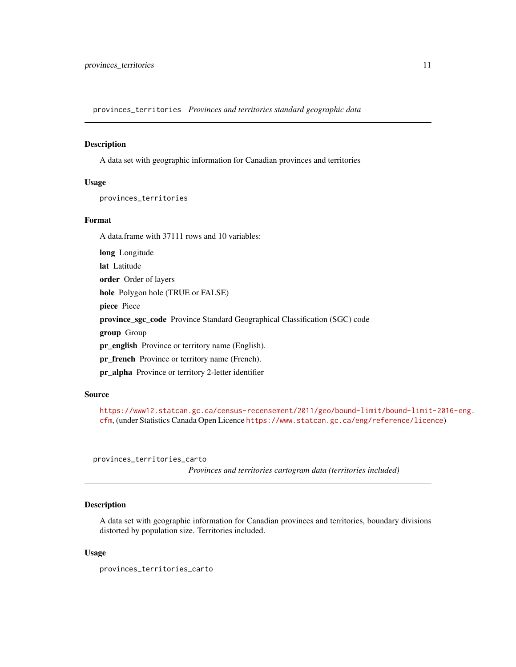<span id="page-10-0"></span>provinces\_territories *Provinces and territories standard geographic data*

#### Description

A data set with geographic information for Canadian provinces and territories

#### Usage

provinces\_territories

#### Format

A data.frame with 37111 rows and 10 variables:

long Longitude lat Latitude order Order of layers hole Polygon hole (TRUE or FALSE) piece Piece province\_sgc\_code Province Standard Geographical Classification (SGC) code group Group pr\_english Province or territory name (English). pr\_french Province or territory name (French). pr\_alpha Province or territory 2-letter identifier

# Source

[https://www12.statcan.gc.ca/census-recensement/2011/geo/bound-limit/bound-limit](https://www12.statcan.gc.ca/census-recensement/2011/geo/bound-limit/bound-limit-2016-eng.cfm)-2016-eng. [cfm](https://www12.statcan.gc.ca/census-recensement/2011/geo/bound-limit/bound-limit-2016-eng.cfm), (under Statistics Canada Open Licence <https://www.statcan.gc.ca/eng/reference/licence>)

provinces\_territories\_carto

*Provinces and territories cartogram data (territories included)*

### Description

A data set with geographic information for Canadian provinces and territories, boundary divisions distorted by population size. Territories included.

#### Usage

provinces\_territories\_carto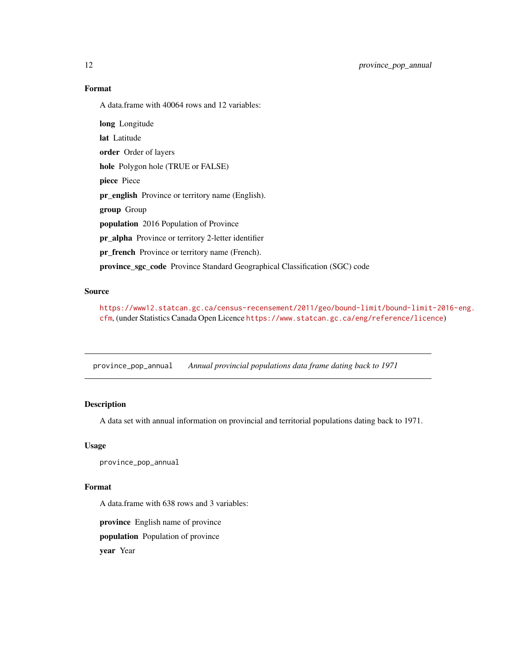# <span id="page-11-0"></span>Format

A data.frame with 40064 rows and 12 variables:

long Longitude lat Latitude order Order of layers hole Polygon hole (TRUE or FALSE) piece Piece pr\_english Province or territory name (English). group Group population 2016 Population of Province pr\_alpha Province or territory 2-letter identifier pr\_french Province or territory name (French). province\_sgc\_code Province Standard Geographical Classification (SGC) code

# Source

[https://www12.statcan.gc.ca/census-recensement/2011/geo/bound-limit/bound-limit](https://www12.statcan.gc.ca/census-recensement/2011/geo/bound-limit/bound-limit-2016-eng.cfm)-2016-eng. [cfm](https://www12.statcan.gc.ca/census-recensement/2011/geo/bound-limit/bound-limit-2016-eng.cfm), (under Statistics Canada Open Licence <https://www.statcan.gc.ca/eng/reference/licence>)

province\_pop\_annual *Annual provincial populations data frame dating back to 1971*

# Description

A data set with annual information on provincial and territorial populations dating back to 1971.

#### Usage

province\_pop\_annual

# Format

A data.frame with 638 rows and 3 variables:

province English name of province population Population of province

year Year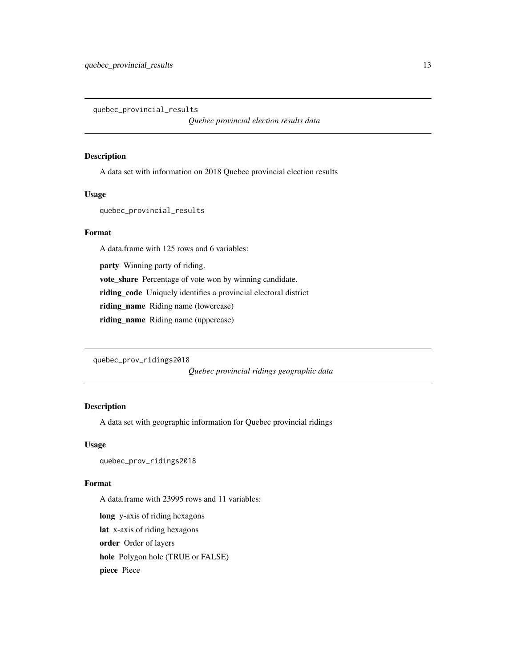<span id="page-12-0"></span>quebec\_provincial\_results

*Quebec provincial election results data*

#### Description

A data set with information on 2018 Quebec provincial election results

#### Usage

quebec\_provincial\_results

# Format

A data.frame with 125 rows and 6 variables:

party Winning party of riding. vote\_share Percentage of vote won by winning candidate. riding\_code Uniquely identifies a provincial electoral district riding\_name Riding name (lowercase) riding\_name Riding name (uppercase)

quebec\_prov\_ridings2018

*Quebec provincial ridings geographic data*

#### Description

A data set with geographic information for Quebec provincial ridings

# Usage

quebec\_prov\_ridings2018

#### Format

A data.frame with 23995 rows and 11 variables:

long y-axis of riding hexagons lat x-axis of riding hexagons order Order of layers hole Polygon hole (TRUE or FALSE) piece Piece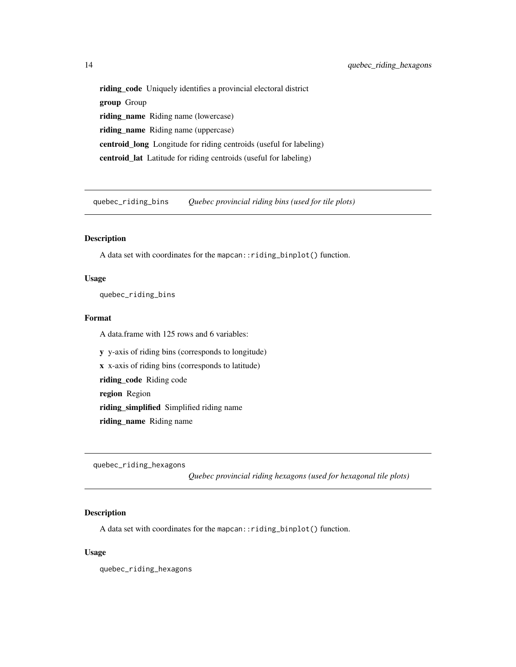<span id="page-13-0"></span>riding\_code Uniquely identifies a provincial electoral district group Group riding\_name Riding name (lowercase) riding\_name Riding name (uppercase) centroid\_long Longitude for riding centroids (useful for labeling) centroid\_lat Latitude for riding centroids (useful for labeling)

quebec\_riding\_bins *Quebec provincial riding bins (used for tile plots)*

# Description

A data set with coordinates for the mapcan::riding\_binplot() function.

# Usage

quebec\_riding\_bins

#### Format

A data.frame with 125 rows and 6 variables:

y y-axis of riding bins (corresponds to longitude)

x x-axis of riding bins (corresponds to latitude)

riding\_code Riding code

region Region

riding\_simplified Simplified riding name

riding\_name Riding name

quebec\_riding\_hexagons

*Quebec provincial riding hexagons (used for hexagonal tile plots)*

#### Description

A data set with coordinates for the mapcan::riding\_binplot() function.

#### Usage

quebec\_riding\_hexagons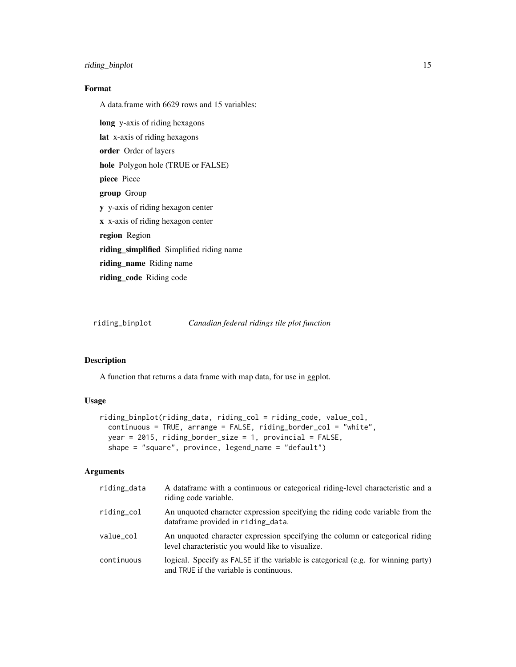# <span id="page-14-0"></span>riding\_binplot 15

# Format

A data.frame with 6629 rows and 15 variables:

long y-axis of riding hexagons lat x-axis of riding hexagons order Order of layers hole Polygon hole (TRUE or FALSE) piece Piece group Group y y-axis of riding hexagon center x x-axis of riding hexagon center region Region riding\_simplified Simplified riding name riding\_name Riding name riding\_code Riding code

riding\_binplot *Canadian federal ridings tile plot function*

#### Description

A function that returns a data frame with map data, for use in ggplot.

# Usage

```
riding_binplot(riding_data, riding_col = riding_code, value_col,
 continuous = TRUE, arrange = FALSE, riding_border_col = "white",
 year = 2015, riding_border_size = 1, provincial = FALSE,
 shape = "square", province, legend_name = "default")
```
# Arguments

| riding_data | A data frame with a continuous or categorical riding-level characteristic and a<br>riding code variable.                          |
|-------------|-----------------------------------------------------------------------------------------------------------------------------------|
| riding_col  | An unquoted character expression specifying the riding code variable from the<br>dataframe provided in riding_data.               |
| value_col   | An unquoted character expression specifying the column or categorical riding<br>level characteristic you would like to visualize. |
| continuous  | logical. Specify as FALSE if the variable is categorical (e.g. for winning party)<br>and TRUE if the variable is continuous.      |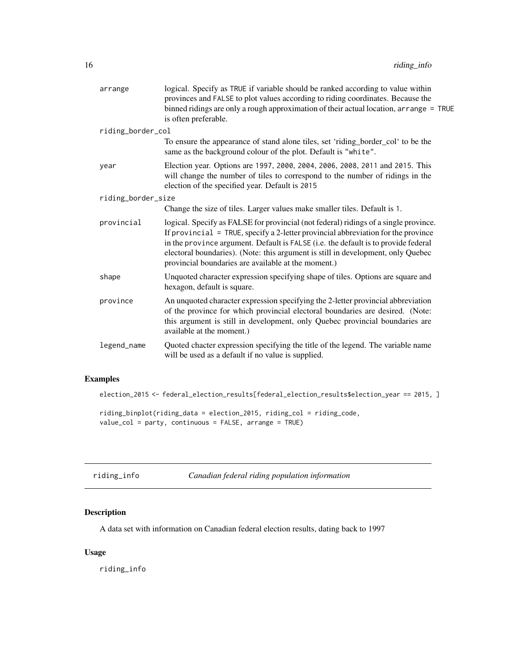<span id="page-15-0"></span>

| arrange            | logical. Specify as TRUE if variable should be ranked according to value within<br>provinces and FALSE to plot values according to riding coordinates. Because the<br>binned ridings are only a rough approximation of their actual location, arrange = TRUE<br>is often preferable.                                                                                                                       |
|--------------------|------------------------------------------------------------------------------------------------------------------------------------------------------------------------------------------------------------------------------------------------------------------------------------------------------------------------------------------------------------------------------------------------------------|
| riding_border_col  |                                                                                                                                                                                                                                                                                                                                                                                                            |
|                    | To ensure the appearance of stand alone tiles, set 'riding_border_col' to be the<br>same as the background colour of the plot. Default is "white".                                                                                                                                                                                                                                                         |
| year               | Election year. Options are 1997, 2000, 2004, 2006, 2008, 2011 and 2015. This<br>will change the number of tiles to correspond to the number of ridings in the<br>election of the specified year. Default is 2015                                                                                                                                                                                           |
| riding_border_size |                                                                                                                                                                                                                                                                                                                                                                                                            |
|                    | Change the size of tiles. Larger values make smaller tiles. Default is 1.                                                                                                                                                                                                                                                                                                                                  |
| provincial         | logical. Specify as FALSE for provincial (not federal) ridings of a single province.<br>If provincial = TRUE, specify a 2-letter provincial abbreviation for the province<br>in the province argument. Default is FALSE (i.e. the default is to provide federal<br>electoral boundaries). (Note: this argument is still in development, only Quebec<br>provincial boundaries are available at the moment.) |
| shape              | Unquoted character expression specifying shape of tiles. Options are square and<br>hexagon, default is square.                                                                                                                                                                                                                                                                                             |
| province           | An unquoted character expression specifying the 2-letter provincial abbreviation<br>of the province for which provincial electoral boundaries are desired. (Note:<br>this argument is still in development, only Quebec provincial boundaries are<br>available at the moment.)                                                                                                                             |
| legend_name        | Quoted chacter expression specifying the title of the legend. The variable name<br>will be used as a default if no value is supplied.                                                                                                                                                                                                                                                                      |
|                    |                                                                                                                                                                                                                                                                                                                                                                                                            |

# Examples

election\_2015 <- federal\_election\_results[federal\_election\_results\$election\_year == 2015, ]

```
riding_binplot(riding_data = election_2015, riding_col = riding_code,
value_col = party, continuous = FALSE, arrange = TRUE)
```

| riding_info | Canadian federal riding population information |
|-------------|------------------------------------------------|
|-------------|------------------------------------------------|

# Description

A data set with information on Canadian federal election results, dating back to 1997

# Usage

riding\_info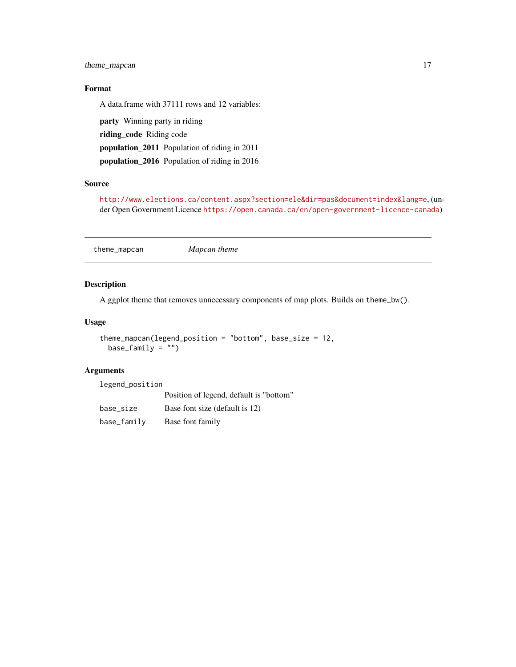# <span id="page-16-0"></span>theme\_mapcan 17

# Format

A data.frame with 37111 rows and 12 variables:

party Winning party in riding riding\_code Riding code population\_2011 Population of riding in 2011 population\_2016 Population of riding in 2016

# Source

<http://www.elections.ca/content.aspx?section=ele&dir=pas&document=index&lang=e>, (under Open Government Licence <https://open.canada.ca/en/open-government-licence-canada>)

theme\_mapcan *Mapcan theme*

# Description

A ggplot theme that removes unnecessary components of map plots. Builds on theme\_bw().

#### Usage

```
theme_mapcan(legend_position = "bottom", base_size = 12,
 base_family = "")
```
# Arguments

legend\_position

|             | Position of legend, default is "bottom" |
|-------------|-----------------------------------------|
| base_size   | Base font size (default is 12)          |
| base_family | Base font family                        |